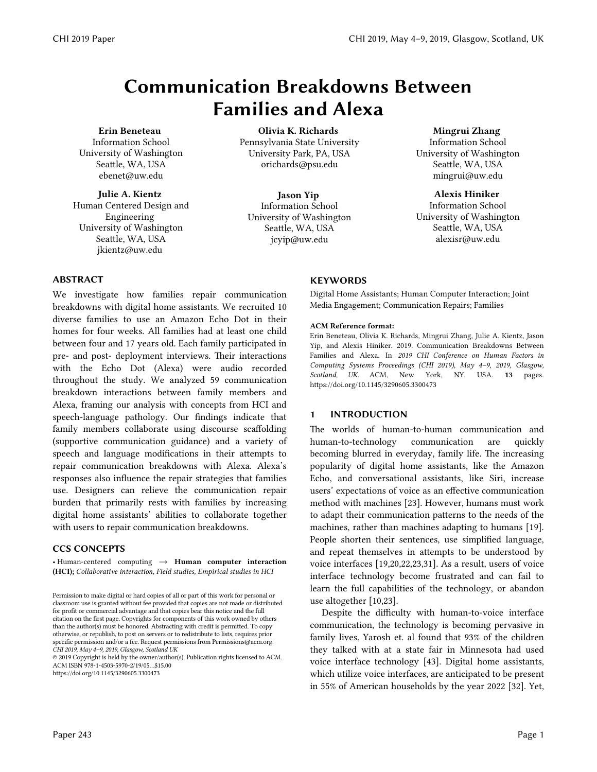# Communication Breakdowns Between Families and Alexa

#### Erin Beneteau

 Information School University of Washington Seattle, WA, USA ebenet@uw.edu

Julie A. Kientz Human Centered Design and Engineering University of Washington Seattle, WA, USA jkientz@uw.edu

Olivia K. Richards Pennsylvania State University University Park, PA, USA orichards@psu.edu

Jason Yip Information School University of Washington Seattle, WA, USA jcyip@uw.edu

## Mingrui Zhang

 Information School University of Washington Seattle, WA, USA mingrui@uw.edu

#### Alexis Hiniker

 Information School University of Washington Seattle, WA, USA alexisr@uw.edu

## ABSTRACT

We investigate how families repair communication breakdowns with digital home assistants. We recruited 10 diverse families to use an Amazon Echo Dot in their homes for four weeks. All families had at least one child between four and 17 years old. Each family participated in pre- and post- deployment interviews. Their interactions with the Echo Dot (Alexa) were audio recorded throughout the study. We analyzed 59 communication breakdown interactions between family members and Alexa, framing our analysis with concepts from HCI and speech-language pathology. Our findings indicate that family members collaborate using discourse scaffolding (supportive communication guidance) and a variety of speech and language modifications in their attempts to repair communication breakdowns with Alexa. Alexa's responses also influence the repair strategies that families use. Designers can relieve the communication repair burden that primarily rests with families by increasing digital home assistants' abilities to collaborate together with users to repair communication breakdowns.

### CCS CONCEPTS

• Human-centered computing → Human computer interaction (HCI); *Collaborative interaction, Field studies, Empirical studies in HCI*

© 2019 Copyright is held by the owner/author(s). Publication rights licensed to ACM. ACM ISBN 978-1-4503-5970-2/19/05…\$15.00

https://doi.org/10.1145/3290605.3300473

### **KEYWORDS**

Digital Home Assistants; Human Computer Interaction; Joint Media Engagement; Communication Repairs; Families

#### ACM Reference format:

Erin Beneteau, Olivia K. Richards, Mingrui Zhang, Julie A. Kientz, Jason Yip, and Alexis Hiniker. 2019. Communication Breakdowns Between Families and Alexa. In *2019 CHI Conference on Human Factors in Computing Systems Proceedings (CHI 2019), May 4–9, 2019, Glasgow, Scotland, UK.* ACM, New York, NY, USA. 13 pages. https://doi.org/10.1145/3290605.3300473

### 1 INTRODUCTION

The worlds of human-to-human communication and human-to-technology communication are quickly becoming blurred in everyday, family life. The increasing popularity of digital home assistants, like the Amazon Echo, and conversational assistants, like Siri, increase users' expectations of voice as an effective communication method with machines [23]. However, humans must work to adapt their communication patterns to the needs of the machines, rather than machines adapting to humans [19]. People shorten their sentences, use simplified language, and repeat themselves in attempts to be understood by voice interfaces [19,20,22,23,31]. As a result, users of voice interface technology become frustrated and can fail to learn the full capabilities of the technology, or abandon use altogether [10,23].

Despite the difficulty with human-to-voice interface communication, the technology is becoming pervasive in family lives. Yarosh et. al found that 93% of the children they talked with at a state fair in Minnesota had used voice interface technology [43]. Digital home assistants, which utilize voice interfaces, are anticipated to be present in 55% of American households by the year 2022 [32]. Yet,

Permission to make digital or hard copies of all or part of this work for personal or classroom use is granted without fee provided that copies are not made or distributed for profit or commercial advantage and that copies bear this notice and the full citation on the first page. Copyrights for components of this work owned by others than the author(s) must be honored. Abstracting with credit is permitted. To copy otherwise, or republish, to post on servers or to redistribute to lists, requires prior specific permission and/or a fee. Request permissions from Permissions@acm.org. *CHI 2019, May 4–9, 2019, Glasgow, Scotland UK*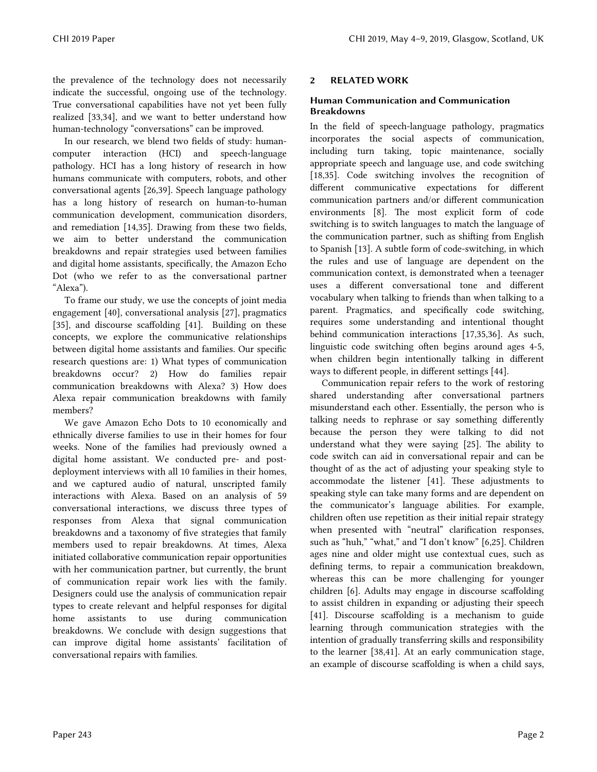the prevalence of the technology does not necessarily indicate the successful, ongoing use of the technology. True conversational capabilities have not yet been fully realized [33,34], and we want to better understand how human-technology "conversations" can be improved.

In our research, we blend two fields of study: humancomputer interaction (HCI) and speech-language pathology. HCI has a long history of research in how humans communicate with computers, robots, and other conversational agents [26,39]. Speech language pathology has a long history of research on human-to-human communication development, communication disorders, and remediation [14,35]. Drawing from these two fields, we aim to better understand the communication breakdowns and repair strategies used between families and digital home assistants, specifically, the Amazon Echo Dot (who we refer to as the conversational partner "Alexa").

To frame our study, we use the concepts of joint media engagement [40], conversational analysis [27], pragmatics [35], and discourse scaffolding [41]. Building on these concepts, we explore the communicative relationships between digital home assistants and families. Our specific research questions are: 1) What types of communication breakdowns occur? 2) How do families repair communication breakdowns with Alexa? 3) How does Alexa repair communication breakdowns with family members?

We gave Amazon Echo Dots to 10 economically and ethnically diverse families to use in their homes for four weeks. None of the families had previously owned a digital home assistant. We conducted pre- and postdeployment interviews with all 10 families in their homes, and we captured audio of natural, unscripted family interactions with Alexa. Based on an analysis of 59 conversational interactions, we discuss three types of responses from Alexa that signal communication breakdowns and a taxonomy of five strategies that family members used to repair breakdowns. At times, Alexa initiated collaborative communication repair opportunities with her communication partner, but currently, the brunt of communication repair work lies with the family. Designers could use the analysis of communication repair types to create relevant and helpful responses for digital home assistants to use during communication breakdowns. We conclude with design suggestions that can improve digital home assistants' facilitation of conversational repairs with families.

## 2 RELATED WORK

## Human Communication and Communication Breakdowns

In the field of speech-language pathology, pragmatics incorporates the social aspects of communication, including turn taking, topic maintenance, socially appropriate speech and language use, and code switching [18,35]. Code switching involves the recognition of different communicative expectations for different communication partners and/or different communication environments [8]. The most explicit form of code switching is to switch languages to match the language of the communication partner, such as shifting from English to Spanish [13]. A subtle form of code-switching, in which the rules and use of language are dependent on the communication context, is demonstrated when a teenager uses a different conversational tone and different vocabulary when talking to friends than when talking to a parent. Pragmatics, and specifically code switching, requires some understanding and intentional thought behind communication interactions [17,35,36]. As such, linguistic code switching often begins around ages 4-5, when children begin intentionally talking in different ways to different people, in different settings [44].

Communication repair refers to the work of restoring shared understanding after conversational partners misunderstand each other. Essentially, the person who is talking needs to rephrase or say something differently because the person they were talking to did not understand what they were saying [25]. The ability to code switch can aid in conversational repair and can be thought of as the act of adjusting your speaking style to accommodate the listener [41]. These adjustments to speaking style can take many forms and are dependent on the communicator's language abilities. For example, children often use repetition as their initial repair strategy when presented with "neutral" clarification responses, such as "huh," "what," and "I don't know" [6,25]. Children ages nine and older might use contextual cues, such as defining terms, to repair a communication breakdown, whereas this can be more challenging for younger children [6]. Adults may engage in discourse scaffolding to assist children in expanding or adjusting their speech [41]. Discourse scaffolding is a mechanism to guide learning through communication strategies with the intention of gradually transferring skills and responsibility to the learner [38,41]. At an early communication stage, an example of discourse scaffolding is when a child says,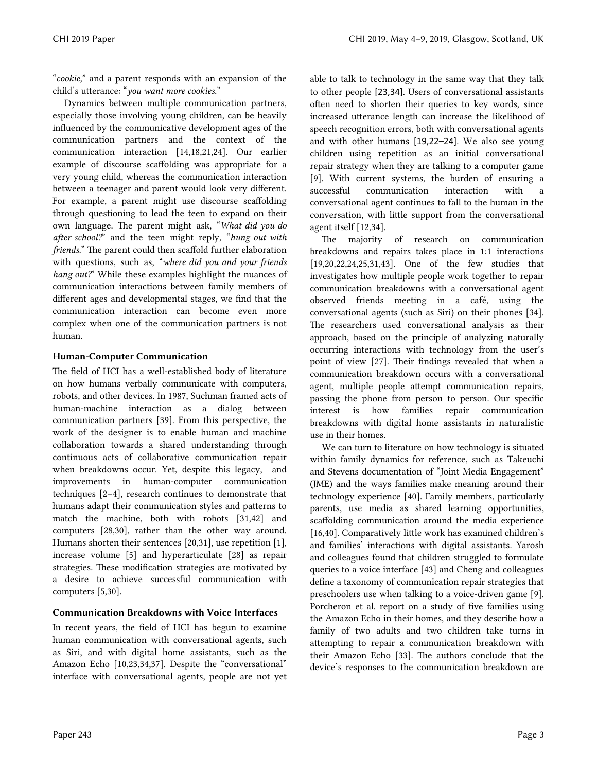"*cookie,*" and a parent responds with an expansion of the child's utterance: "*you want more cookies.*"

Dynamics between multiple communication partners, especially those involving young children, can be heavily influenced by the communicative development ages of the communication partners and the context of the communication interaction [14,18,21,24]. Our earlier example of discourse scaffolding was appropriate for a very young child, whereas the communication interaction between a teenager and parent would look very different. For example, a parent might use discourse scaffolding through questioning to lead the teen to expand on their own language. The parent might ask, "*What did you do after school?*" and the teen might reply, "*hung out with friends.*" The parent could then scaffold further elaboration with questions, such as, "*where did you and your friends hang out?*" While these examples highlight the nuances of communication interactions between family members of different ages and developmental stages, we find that the communication interaction can become even more complex when one of the communication partners is not human.

## Human-Computer Communication

The field of HCI has a well-established body of literature on how humans verbally communicate with computers, robots, and other devices. In 1987, Suchman framed acts of human-machine interaction as a dialog between communication partners [39]. From this perspective, the work of the designer is to enable human and machine collaboration towards a shared understanding through continuous acts of collaborative communication repair when breakdowns occur. Yet, despite this legacy, and improvements in human-computer communication techniques [2–4], research continues to demonstrate that humans adapt their communication styles and patterns to match the machine, both with robots [31,42] and computers [28,30], rather than the other way around. Humans shorten their sentences [20,31], use repetition [1], increase volume [5] and hyperarticulate [28] as repair strategies. These modification strategies are motivated by a desire to achieve successful communication with computers [5,30].

## Communication Breakdowns with Voice Interfaces

In recent years, the field of HCI has begun to examine human communication with conversational agents, such as Siri, and with digital home assistants, such as the Amazon Echo [10,23,34,37]. Despite the "conversational" interface with conversational agents, people are not yet able to talk to technology in the same way that they talk to other people [23,34]. Users of conversational assistants often need to shorten their queries to key words, since increased utterance length can increase the likelihood of speech recognition errors, both with conversational agents and with other humans [19,22–24]. We also see young children using repetition as an initial conversational repair strategy when they are talking to a computer game [9]. With current systems, the burden of ensuring a successful communication interaction with a conversational agent continues to fall to the human in the conversation, with little support from the conversational agent itself [12,34].

The majority of research on communication breakdowns and repairs takes place in 1:1 interactions [19,20,22,24,25,31,43]. One of the few studies that investigates how multiple people work together to repair communication breakdowns with a conversational agent observed friends meeting in a café, using the conversational agents (such as Siri) on their phones [34]. The researchers used conversational analysis as their approach, based on the principle of analyzing naturally occurring interactions with technology from the user's point of view [27]. Their findings revealed that when a communication breakdown occurs with a conversational agent, multiple people attempt communication repairs, passing the phone from person to person. Our specific interest is how families repair communication breakdowns with digital home assistants in naturalistic use in their homes.

We can turn to literature on how technology is situated within family dynamics for reference, such as Takeuchi and Stevens documentation of "Joint Media Engagement" (JME) and the ways families make meaning around their technology experience [40]. Family members, particularly parents, use media as shared learning opportunities, scaffolding communication around the media experience [16,40]. Comparatively little work has examined children's and families' interactions with digital assistants. Yarosh and colleagues found that children struggled to formulate queries to a voice interface [43] and Cheng and colleagues define a taxonomy of communication repair strategies that preschoolers use when talking to a voice-driven game [9]. Porcheron et al. report on a study of five families using the Amazon Echo in their homes, and they describe how a family of two adults and two children take turns in attempting to repair a communication breakdown with their Amazon Echo [33]. The authors conclude that the device's responses to the communication breakdown are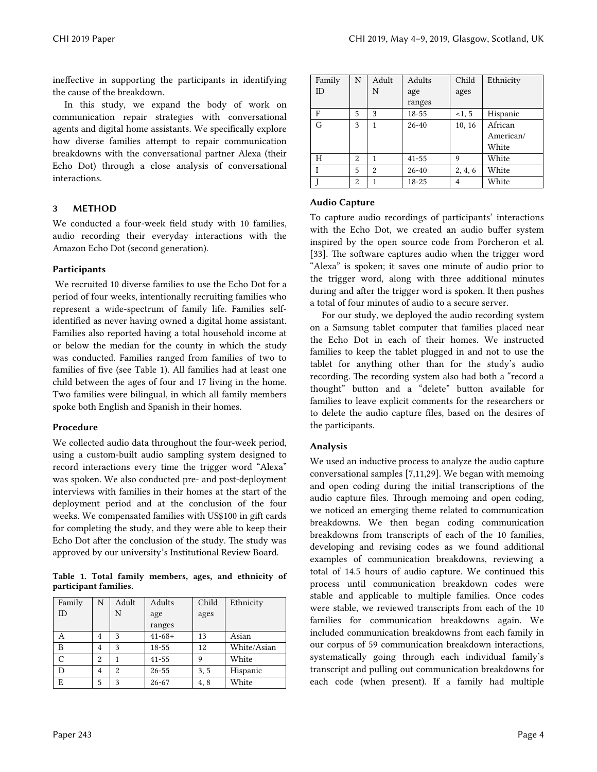ineffective in supporting the participants in identifying the cause of the breakdown.

In this study, we expand the body of work on communication repair strategies with conversational agents and digital home assistants. We specifically explore how diverse families attempt to repair communication breakdowns with the conversational partner Alexa (their Echo Dot) through a close analysis of conversational interactions.

## 3 METHOD

We conducted a four-week field study with 10 families, audio recording their everyday interactions with the Amazon Echo Dot (second generation).

## **Participants**

 We recruited 10 diverse families to use the Echo Dot for a period of four weeks, intentionally recruiting families who represent a wide-spectrum of family life. Families selfidentified as never having owned a digital home assistant. Families also reported having a total household income at or below the median for the county in which the study was conducted. Families ranged from families of two to families of five (see Table 1). All families had at least one child between the ages of four and 17 living in the home. Two families were bilingual, in which all family members spoke both English and Spanish in their homes.

### Procedure

We collected audio data throughout the four-week period, using a custom-built audio sampling system designed to record interactions every time the trigger word "Alexa" was spoken. We also conducted pre- and post-deployment interviews with families in their homes at the start of the deployment period and at the conclusion of the four weeks. We compensated families with US\$100 in gift cards for completing the study, and they were able to keep their Echo Dot after the conclusion of the study. The study was approved by our university's Institutional Review Board.

Table 1. Total family members, ages, and ethnicity of participant families.

| Family | N              | Adult | Adults      | Child | Ethnicity   |
|--------|----------------|-------|-------------|-------|-------------|
| ID     |                | N     | age         | ages  |             |
|        |                |       | ranges      |       |             |
| А      | 4              | 3     | $41 - 68 +$ | 13    | Asian       |
| B      | 4              | 3     | 18-55       | 12    | White/Asian |
|        | $\overline{2}$ |       | $41 - 55$   | 9     | White       |
| D      | $\overline{4}$ | 2     | $26 - 55$   | 3, 5  | Hispanic    |
| E      | 5              | 3     | $26 - 67$   | 4,8   | White       |

| Family | N              | Adult          | Adults    | Child   | Ethnicity |
|--------|----------------|----------------|-----------|---------|-----------|
| ID     |                | N              | age       | ages    |           |
|        |                |                | ranges    |         |           |
| F      | 5              | 3              | $18 - 55$ | <1, 5   | Hispanic  |
| G      | 3              | 1              | $26 - 40$ | 10, 16  | African   |
|        |                |                |           |         | American/ |
|        |                |                |           |         | White     |
| H      | $\overline{2}$ | 1              | $41 - 55$ | 9       | White     |
|        | 5              | $\overline{2}$ | $26 - 40$ | 2, 4, 6 | White     |
|        | 2              | 1              | $18 - 25$ | 4       | White     |

### Audio Capture

To capture audio recordings of participants' interactions with the Echo Dot, we created an audio buffer system inspired by the open source code from Porcheron et al. [33]. The software captures audio when the trigger word "Alexa" is spoken; it saves one minute of audio prior to the trigger word, along with three additional minutes during and after the trigger word is spoken. It then pushes a total of four minutes of audio to a secure server.

For our study, we deployed the audio recording system on a Samsung tablet computer that families placed near the Echo Dot in each of their homes. We instructed families to keep the tablet plugged in and not to use the tablet for anything other than for the study's audio recording. The recording system also had both a "record a thought" button and a "delete" button available for families to leave explicit comments for the researchers or to delete the audio capture files, based on the desires of the participants.

## Analysis

We used an inductive process to analyze the audio capture conversational samples [7,11,29]. We began with memoing and open coding during the initial transcriptions of the audio capture files. Through memoing and open coding, we noticed an emerging theme related to communication breakdowns. We then began coding communication breakdowns from transcripts of each of the 10 families, developing and revising codes as we found additional examples of communication breakdowns, reviewing a total of 14.5 hours of audio capture. We continued this process until communication breakdown codes were stable and applicable to multiple families. Once codes were stable, we reviewed transcripts from each of the 10 families for communication breakdowns again. We included communication breakdowns from each family in our corpus of 59 communication breakdown interactions, systematically going through each individual family's transcript and pulling out communication breakdowns for each code (when present). If a family had multiple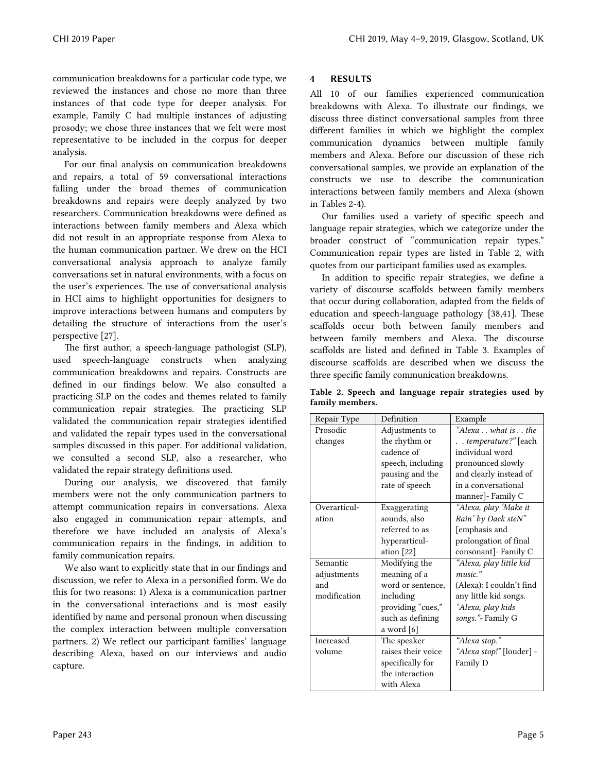communication breakdowns for a particular code type, we reviewed the instances and chose no more than three instances of that code type for deeper analysis. For example, Family C had multiple instances of adjusting prosody; we chose three instances that we felt were most representative to be included in the corpus for deeper analysis.

For our final analysis on communication breakdowns and repairs, a total of 59 conversational interactions falling under the broad themes of communication breakdowns and repairs were deeply analyzed by two researchers. Communication breakdowns were defined as interactions between family members and Alexa which did not result in an appropriate response from Alexa to the human communication partner. We drew on the HCI conversational analysis approach to analyze family conversations set in natural environments, with a focus on the user's experiences. The use of conversational analysis in HCI aims to highlight opportunities for designers to improve interactions between humans and computers by detailing the structure of interactions from the user's perspective [27].

The first author, a speech-language pathologist (SLP), used speech-language constructs when analyzing communication breakdowns and repairs. Constructs are defined in our findings below. We also consulted a practicing SLP on the codes and themes related to family communication repair strategies. The practicing SLP validated the communication repair strategies identified and validated the repair types used in the conversational samples discussed in this paper. For additional validation, we consulted a second SLP, also a researcher, who validated the repair strategy definitions used.

During our analysis, we discovered that family members were not the only communication partners to attempt communication repairs in conversations. Alexa also engaged in communication repair attempts, and therefore we have included an analysis of Alexa's communication repairs in the findings, in addition to family communication repairs.

We also want to explicitly state that in our findings and discussion, we refer to Alexa in a personified form. We do this for two reasons: 1) Alexa is a communication partner in the conversational interactions and is most easily identified by name and personal pronoun when discussing the complex interaction between multiple conversation partners. 2) We reflect our participant families' language describing Alexa, based on our interviews and audio capture.

## 4 RESULTS

All 10 of our families experienced communication breakdowns with Alexa. To illustrate our findings, we discuss three distinct conversational samples from three different families in which we highlight the complex communication dynamics between multiple family members and Alexa. Before our discussion of these rich conversational samples, we provide an explanation of the constructs we use to describe the communication interactions between family members and Alexa (shown in Tables 2-4).

Our families used a variety of specific speech and language repair strategies, which we categorize under the broader construct of "communication repair types." Communication repair types are listed in Table 2, with quotes from our participant families used as examples.

In addition to specific repair strategies, we define a variety of discourse scaffolds between family members that occur during collaboration, adapted from the fields of education and speech-language pathology [38,41]. These scaffolds occur both between family members and between family members and Alexa. The discourse scaffolds are listed and defined in Table 3. Examples of discourse scaffolds are described when we discuss the three specific family communication breakdowns.

|                 |  |  | Table 2. Speech and language repair strategies used by |  |
|-----------------|--|--|--------------------------------------------------------|--|
| family members. |  |  |                                                        |  |

| Repair Type  | Definition         | Example                  |
|--------------|--------------------|--------------------------|
| Prosodic     | Adjustments to     | "Alexawhat isthe         |
| changes      | the rhythm or      | . . temperature?" [each  |
|              | cadence of         | individual word          |
|              | speech, including  | pronounced slowly        |
|              | pausing and the    | and clearly instead of   |
|              | rate of speech     | in a conversational      |
|              |                    | manner]- Family C        |
| Overarticul- | Exaggerating       | "Alexa, play 'Make it    |
| ation        | sounds, also       | Rain' by Dack steN"      |
|              | referred to as     | [emphasis and            |
|              | hyperarticul-      | prolongation of final    |
|              | ation [22]         | consonant]- Family C     |
| Semantic     | Modifying the      | "Alexa, play little kid  |
| adjustments  | meaning of a       | music."                  |
| and          | word or sentence,  | (Alexa): I couldn't find |
| modification | including          | any little kid songs.    |
|              | providing "cues,"  | "Alexa, play kids        |
|              | such as defining   | songs."- Family G        |
|              | a word [6]         |                          |
| Increased    | The speaker        | "Alexa stop."            |
| volume       | raises their voice | "Alexa stop!" [louder] - |
|              | specifically for   | Family D                 |
|              | the interaction    |                          |
|              | with Alexa         |                          |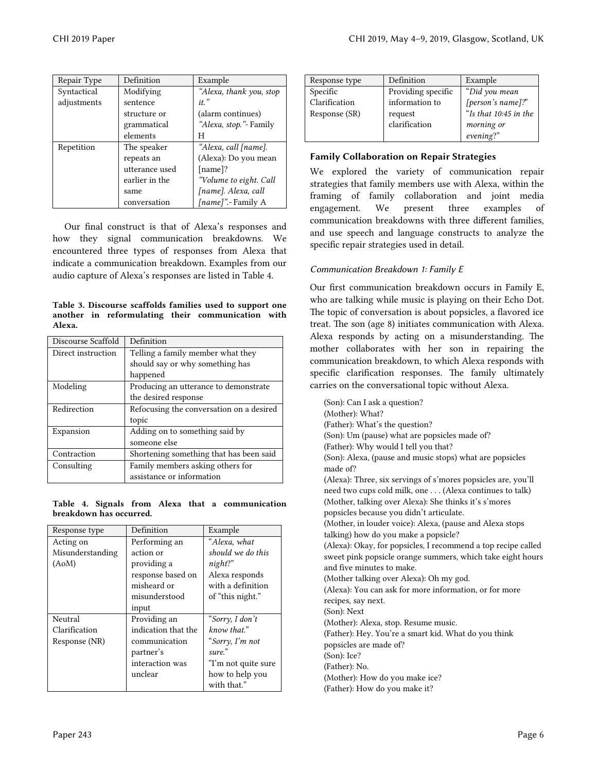| Repair Type | Definition     | Example                 |
|-------------|----------------|-------------------------|
| Syntactical | Modifying      | "Alexa, thank you, stop |
| adjustments | sentence       | $it.$ "                 |
|             | structure or   | (alarm continues)       |
|             | grammatical    | "Alexa, stop." - Family |
|             | elements       | H                       |
| Repetition  | The speaker    | "Alexa, call [name].    |
|             | repeats an     | (Alexa): Do you mean    |
|             | utterance used | [name]?                 |
|             | earlier in the | "Volume to eight. Call  |
|             | same           | [name]. Alexa, call     |
|             | conversation   | [name]".- Family A      |

Our final construct is that of Alexa's responses and how they signal communication breakdowns. We encountered three types of responses from Alexa that indicate a communication breakdown. Examples from our audio capture of Alexa's responses are listed in Table 4.

Table 3. Discourse scaffolds families used to support one another in reformulating their communication with Alexa.

| Discourse Scaffold | Definition                               |  |
|--------------------|------------------------------------------|--|
| Direct instruction | Telling a family member what they        |  |
|                    | should say or why something has          |  |
|                    | happened                                 |  |
| Modeling           | Producing an utterance to demonstrate    |  |
|                    | the desired response                     |  |
| Redirection        | Refocusing the conversation on a desired |  |
|                    | topic                                    |  |
| Expansion          | Adding on to something said by           |  |
|                    | someone else                             |  |
| Contraction        | Shortening something that has been said  |  |
| Consulting         | Family members asking others for         |  |
|                    | assistance or information                |  |

#### Table 4. Signals from Alexa that a communication breakdown has occurred.

| Response type    | Definition          | Example             |
|------------------|---------------------|---------------------|
| Acting on        | Performing an       | "Alexa. what        |
| Misunderstanding | action or           | should we do this   |
| (AoM)            | providing a         | night?              |
|                  | response based on   | Alexa responds      |
|                  | misheard or         | with a definition   |
|                  | misunderstood       | of "this night."    |
|                  | input               |                     |
| Neutral          | Providing an        | "Sorry, I don't     |
| Clarification    | indication that the | know that."         |
| Response (NR)    | communication       | "Sorry, I'm not     |
|                  | partner's           | sure."              |
|                  | interaction was     | "I'm not quite sure |
|                  | unclear             | how to help you     |
|                  |                     | with that."         |

| Response type                              | Definition                                                       | Example                                                                                |
|--------------------------------------------|------------------------------------------------------------------|----------------------------------------------------------------------------------------|
| Specific<br>Clarification<br>Response (SR) | Providing specific<br>information to<br>request<br>clarification | "Did you mean<br>[person's name]?"<br>"Is that 10:45 in the<br>morning or<br>evening?" |

# Family Collaboration on Repair Strategies

We explored the variety of communication repair strategies that family members use with Alexa, within the framing of family collaboration and joint media engagement. We present three examples of communication breakdowns with three different families, and use speech and language constructs to analyze the specific repair strategies used in detail.

# *Communication Breakdown 1: Family E*

Our first communication breakdown occurs in Family E, who are talking while music is playing on their Echo Dot. The topic of conversation is about popsicles, a flavored ice treat. The son (age 8) initiates communication with Alexa. Alexa responds by acting on a misunderstanding. The mother collaborates with her son in repairing the communication breakdown, to which Alexa responds with specific clarification responses. The family ultimately carries on the conversational topic without Alexa.

(Son): Can I ask a question? (Mother): What? (Father): What's the question? (Son): Um (pause) what are popsicles made of? (Father): Why would I tell you that? (Son): Alexa, (pause and music stops) what are popsicles made of? (Alexa): Three, six servings of s'mores popsicles are, you'll need two cups cold milk, one . . . (Alexa continues to talk) (Mother, talking over Alexa): She thinks it's s'mores popsicles because you didn't articulate. (Mother, in louder voice): Alexa, (pause and Alexa stops talking) how do you make a popsicle? (Alexa): Okay, for popsicles, I recommend a top recipe called sweet pink popsicle orange summers, which take eight hours and five minutes to make. (Mother talking over Alexa): Oh my god. (Alexa): You can ask for more information, or for more recipes, say next. (Son): Next (Mother): Alexa, stop. Resume music. (Father): Hey. You're a smart kid. What do you think popsicles are made of? (Son): Ice? (Father): No. (Mother): How do you make ice? (Father): How do you make it?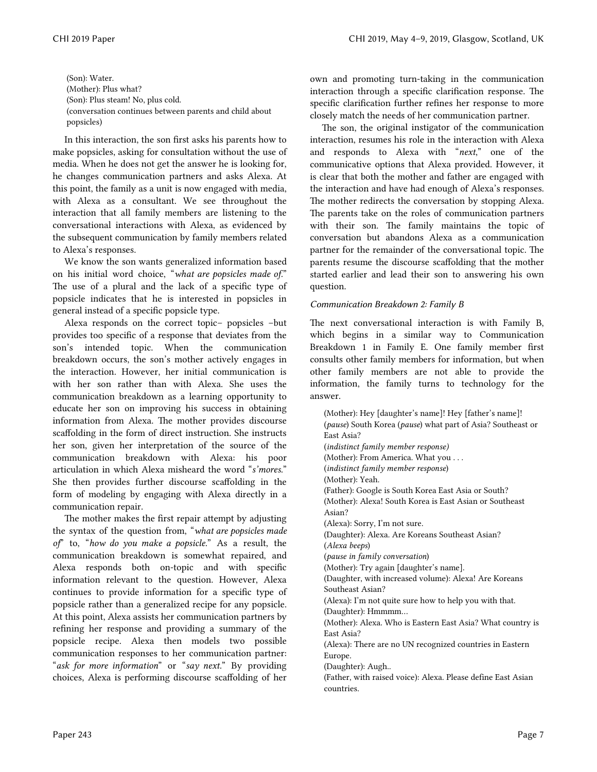(Son): Water. (Mother): Plus what? (Son): Plus steam! No, plus cold. (conversation continues between parents and child about popsicles)

In this interaction, the son first asks his parents how to make popsicles, asking for consultation without the use of media. When he does not get the answer he is looking for, he changes communication partners and asks Alexa. At this point, the family as a unit is now engaged with media, with Alexa as a consultant. We see throughout the interaction that all family members are listening to the conversational interactions with Alexa, as evidenced by the subsequent communication by family members related to Alexa's responses.

We know the son wants generalized information based on his initial word choice, "*what are popsicles made of.*" The use of a plural and the lack of a specific type of popsicle indicates that he is interested in popsicles in general instead of a specific popsicle type.

Alexa responds on the correct topic– popsicles –but provides too specific of a response that deviates from the son's intended topic. When the communication breakdown occurs, the son's mother actively engages in the interaction. However, her initial communication is with her son rather than with Alexa. She uses the communication breakdown as a learning opportunity to educate her son on improving his success in obtaining information from Alexa. The mother provides discourse scaffolding in the form of direct instruction. She instructs her son, given her interpretation of the source of the communication breakdown with Alexa: his poor articulation in which Alexa misheard the word "*s'mores.*" She then provides further discourse scaffolding in the form of modeling by engaging with Alexa directly in a communication repair.

The mother makes the first repair attempt by adjusting the syntax of the question from, "*what are popsicles made of*" to, "*how do you make a popsicle.*" As a result, the communication breakdown is somewhat repaired, and Alexa responds both on-topic and with specific information relevant to the question. However, Alexa continues to provide information for a specific type of popsicle rather than a generalized recipe for any popsicle. At this point, Alexa assists her communication partners by refining her response and providing a summary of the popsicle recipe. Alexa then models two possible communication responses to her communication partner: "*ask for more information*" or "*say next.*" By providing choices, Alexa is performing discourse scaffolding of her

own and promoting turn-taking in the communication interaction through a specific clarification response. The specific clarification further refines her response to more closely match the needs of her communication partner.

The son, the original instigator of the communication interaction, resumes his role in the interaction with Alexa and responds to Alexa with "*next*," one of the communicative options that Alexa provided. However, it is clear that both the mother and father are engaged with the interaction and have had enough of Alexa's responses. The mother redirects the conversation by stopping Alexa. The parents take on the roles of communication partners with their son. The family maintains the topic of conversation but abandons Alexa as a communication partner for the remainder of the conversational topic. The parents resume the discourse scaffolding that the mother started earlier and lead their son to answering his own question.

## *Communication Breakdown 2: Family B*

The next conversational interaction is with Family B, which begins in a similar way to Communication Breakdown 1 in Family E. One family member first consults other family members for information, but when other family members are not able to provide the information, the family turns to technology for the answer.

(Mother): Hey [daughter's name]! Hey [father's name]! (*pause*) South Korea (*pause*) what part of Asia? Southeast or East Asia? (*indistinct family member response)* (Mother): From America. What you . . . (*indistinct family member response*) (Mother): Yeah. (Father): Google is South Korea East Asia or South? (Mother): Alexa! South Korea is East Asian or Southeast Asian? (Alexa): Sorry, I'm not sure. (Daughter): Alexa. Are Koreans Southeast Asian? (*Alexa beeps*) (*pause in family conversation*) (Mother): Try again [daughter's name]. (Daughter, with increased volume): Alexa! Are Koreans Southeast Asian? (Alexa): I'm not quite sure how to help you with that. (Daughter): Hmmmm… (Mother): Alexa. Who is Eastern East Asia? What country is East Asia? (Alexa): There are no UN recognized countries in Eastern Europe. (Daughter): Augh.. (Father, with raised voice): Alexa. Please define East Asian countries.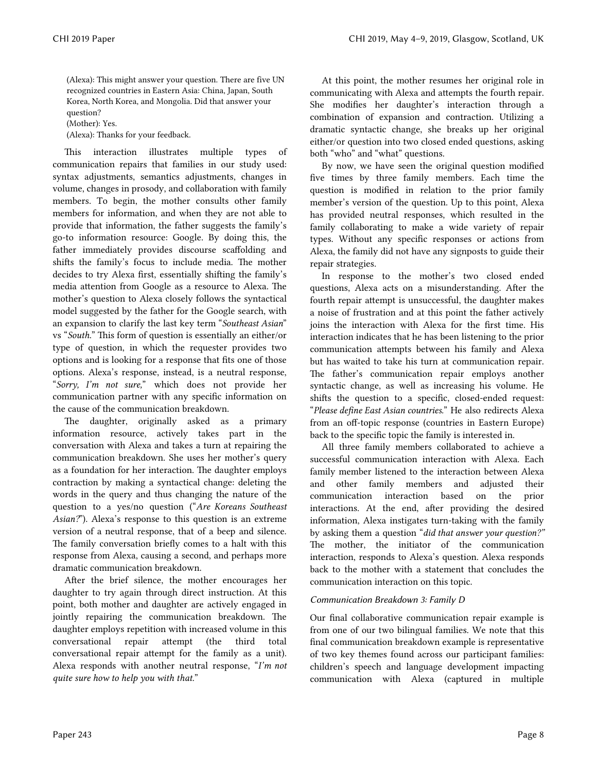(Alexa): This might answer your question. There are five UN recognized countries in Eastern Asia: China, Japan, South Korea, North Korea, and Mongolia. Did that answer your question?

(Mother): Yes.

(Alexa): Thanks for your feedback.

This interaction illustrates multiple types of communication repairs that families in our study used: syntax adjustments, semantics adjustments, changes in volume, changes in prosody, and collaboration with family members. To begin, the mother consults other family members for information, and when they are not able to provide that information, the father suggests the family's go-to information resource: Google. By doing this, the father immediately provides discourse scaffolding and shifts the family's focus to include media. The mother decides to try Alexa first, essentially shifting the family's media attention from Google as a resource to Alexa. The mother's question to Alexa closely follows the syntactical model suggested by the father for the Google search, with an expansion to clarify the last key term "*Southeast Asian*" vs "*South*." This form of question is essentially an either/or type of question, in which the requester provides two options and is looking for a response that fits one of those options. Alexa's response, instead, is a neutral response, "*Sorry, I'm not sure,*" which does not provide her communication partner with any specific information on the cause of the communication breakdown.

The daughter, originally asked as a primary information resource, actively takes part in the conversation with Alexa and takes a turn at repairing the communication breakdown. She uses her mother's query as a foundation for her interaction. The daughter employs contraction by making a syntactical change: deleting the words in the query and thus changing the nature of the question to a yes/no question ("*Are Koreans Southeast Asian?*"). Alexa's response to this question is an extreme version of a neutral response, that of a beep and silence. The family conversation briefly comes to a halt with this response from Alexa, causing a second, and perhaps more dramatic communication breakdown.

After the brief silence, the mother encourages her daughter to try again through direct instruction. At this point, both mother and daughter are actively engaged in jointly repairing the communication breakdown. The daughter employs repetition with increased volume in this conversational repair attempt (the third total conversational repair attempt for the family as a unit). Alexa responds with another neutral response, "*I'm not quite sure how to help you with that.*"

At this point, the mother resumes her original role in communicating with Alexa and attempts the fourth repair. She modifies her daughter's interaction through a combination of expansion and contraction. Utilizing a dramatic syntactic change, she breaks up her original either/or question into two closed ended questions, asking both "who" and "what" questions.

By now, we have seen the original question modified five times by three family members. Each time the question is modified in relation to the prior family member's version of the question. Up to this point, Alexa has provided neutral responses, which resulted in the family collaborating to make a wide variety of repair types. Without any specific responses or actions from Alexa, the family did not have any signposts to guide their repair strategies.

In response to the mother's two closed ended questions, Alexa acts on a misunderstanding. After the fourth repair attempt is unsuccessful, the daughter makes a noise of frustration and at this point the father actively joins the interaction with Alexa for the first time. His interaction indicates that he has been listening to the prior communication attempts between his family and Alexa but has waited to take his turn at communication repair. The father's communication repair employs another syntactic change, as well as increasing his volume. He shifts the question to a specific, closed-ended request: "*Please define East Asian countries.*" He also redirects Alexa from an off-topic response (countries in Eastern Europe) back to the specific topic the family is interested in.

All three family members collaborated to achieve a successful communication interaction with Alexa. Each family member listened to the interaction between Alexa and other family members and adjusted their communication interaction based on the prior interactions. At the end, after providing the desired information, Alexa instigates turn-taking with the family by asking them a question "*did that answer your question?"* The mother, the initiator of the communication interaction, responds to Alexa's question. Alexa responds back to the mother with a statement that concludes the communication interaction on this topic.

### *Communication Breakdown 3: Family D*

Our final collaborative communication repair example is from one of our two bilingual families. We note that this final communication breakdown example is representative of two key themes found across our participant families: children's speech and language development impacting communication with Alexa (captured in multiple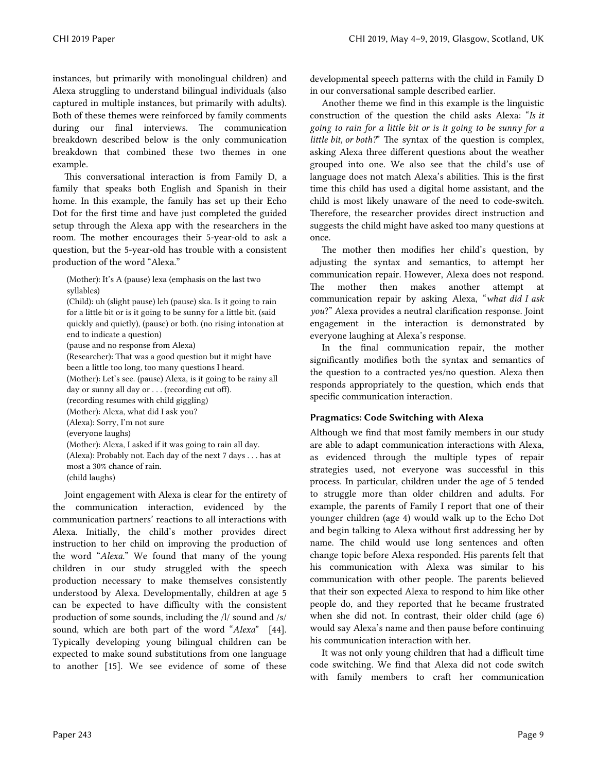instances, but primarily with monolingual children) and Alexa struggling to understand bilingual individuals (also captured in multiple instances, but primarily with adults). Both of these themes were reinforced by family comments during our final interviews. The communication breakdown described below is the only communication breakdown that combined these two themes in one example.

This conversational interaction is from Family D, a family that speaks both English and Spanish in their home. In this example, the family has set up their Echo Dot for the first time and have just completed the guided setup through the Alexa app with the researchers in the room. The mother encourages their 5-year-old to ask a question, but the 5-year-old has trouble with a consistent production of the word "Alexa."

(Mother): It's A (pause) lexa (emphasis on the last two syllables)

(Child): uh (slight pause) leh (pause) ska. Is it going to rain for a little bit or is it going to be sunny for a little bit. (said quickly and quietly), (pause) or both. (no rising intonation at end to indicate a question) (pause and no response from Alexa) (Researcher): That was a good question but it might have been a little too long, too many questions I heard. (Mother): Let's see. (pause) Alexa, is it going to be rainy all day or sunny all day or . . . (recording cut off). (recording resumes with child giggling) (Mother): Alexa, what did I ask you? (Alexa): Sorry, I'm not sure (everyone laughs) (Mother): Alexa, I asked if it was going to rain all day. (Alexa): Probably not. Each day of the next 7 days . . . has at most a 30% chance of rain. (child laughs)

Joint engagement with Alexa is clear for the entirety of the communication interaction, evidenced by the communication partners' reactions to all interactions with Alexa. Initially, the child's mother provides direct instruction to her child on improving the production of the word "*Alexa*." We found that many of the young children in our study struggled with the speech production necessary to make themselves consistently understood by Alexa. Developmentally, children at age 5 can be expected to have difficulty with the consistent production of some sounds, including the /l/ sound and /s/ sound, which are both part of the word "*Alexa*" [44]. Typically developing young bilingual children can be expected to make sound substitutions from one language to another [15]. We see evidence of some of these

developmental speech patterns with the child in Family D in our conversational sample described earlier.

Another theme we find in this example is the linguistic construction of the question the child asks Alexa: "*Is it going to rain for a little bit or is it going to be sunny for a little bit, or both?*" The syntax of the question is complex, asking Alexa three different questions about the weather grouped into one. We also see that the child's use of language does not match Alexa's abilities. This is the first time this child has used a digital home assistant, and the child is most likely unaware of the need to code-switch. Therefore, the researcher provides direct instruction and suggests the child might have asked too many questions at once.

The mother then modifies her child's question, by adjusting the syntax and semantics, to attempt her communication repair. However, Alexa does not respond. The mother then makes another attempt at communication repair by asking Alexa, "*what did I ask you*?" Alexa provides a neutral clarification response. Joint engagement in the interaction is demonstrated by everyone laughing at Alexa's response.

In the final communication repair, the mother significantly modifies both the syntax and semantics of the question to a contracted yes/no question. Alexa then responds appropriately to the question, which ends that specific communication interaction.

## Pragmatics: Code Switching with Alexa

Although we find that most family members in our study are able to adapt communication interactions with Alexa, as evidenced through the multiple types of repair strategies used, not everyone was successful in this process. In particular, children under the age of 5 tended to struggle more than older children and adults. For example, the parents of Family I report that one of their younger children (age 4) would walk up to the Echo Dot and begin talking to Alexa without first addressing her by name. The child would use long sentences and often change topic before Alexa responded. His parents felt that his communication with Alexa was similar to his communication with other people. The parents believed that their son expected Alexa to respond to him like other people do, and they reported that he became frustrated when she did not. In contrast, their older child (age 6) would say Alexa's name and then pause before continuing his communication interaction with her.

It was not only young children that had a difficult time code switching. We find that Alexa did not code switch with family members to craft her communication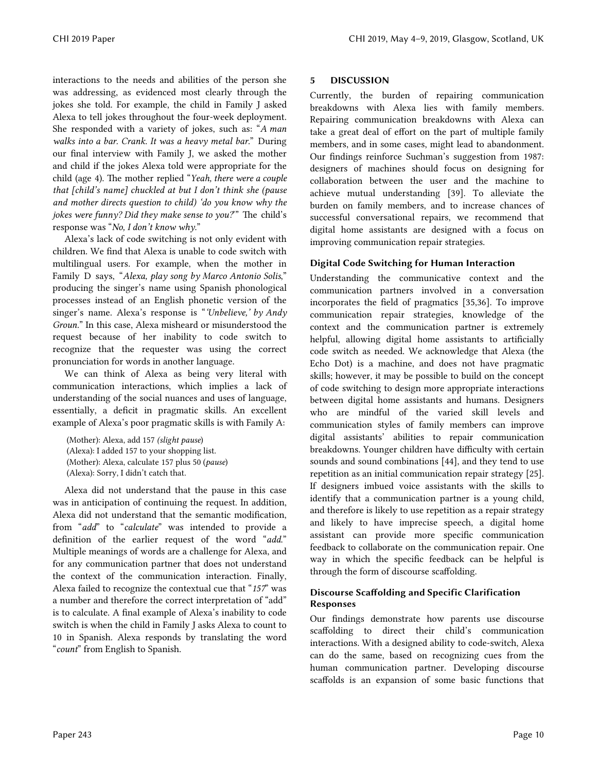interactions to the needs and abilities of the person she was addressing, as evidenced most clearly through the jokes she told. For example, the child in Family J asked Alexa to tell jokes throughout the four-week deployment. She responded with a variety of jokes, such as: "*A man walks into a bar. Crank. It was a heavy metal bar.*" During our final interview with Family J, we asked the mother and child if the jokes Alexa told were appropriate for the child (age 4). The mother replied "*Yeah, there were a couple that [child's name] chuckled at but I don't think she (pause and mother directs question to child) 'do you know why the jokes were funny? Did they make sense to you?*'" The child's response was "*No, I don't know why.*"

Alexa's lack of code switching is not only evident with children. We find that Alexa is unable to code switch with multilingual users. For example, when the mother in Family D says, "*Alexa, play song by Marco Antonio Solis*," producing the singer's name using Spanish phonological processes instead of an English phonetic version of the singer's name. Alexa's response is "*'Unbelieve,' by Andy Groun.*" In this case, Alexa misheard or misunderstood the request because of her inability to code switch to recognize that the requester was using the correct pronunciation for words in another language.

We can think of Alexa as being very literal with communication interactions, which implies a lack of understanding of the social nuances and uses of language, essentially, a deficit in pragmatic skills. An excellent example of Alexa's poor pragmatic skills is with Family A:

(Mother): Alexa, add 157 *(slight pause*) (Alexa): I added 157 to your shopping list. (Mother): Alexa, calculate 157 plus 50 (*pause*) (Alexa): Sorry, I didn't catch that.

Alexa did not understand that the pause in this case was in anticipation of continuing the request. In addition, Alexa did not understand that the semantic modification, from "*add*" to "*calculate*" was intended to provide a definition of the earlier request of the word "*add*." Multiple meanings of words are a challenge for Alexa, and for any communication partner that does not understand the context of the communication interaction. Finally, Alexa failed to recognize the contextual cue that "*157*" was a number and therefore the correct interpretation of "add" is to calculate. A final example of Alexa's inability to code switch is when the child in Family J asks Alexa to count to 10 in Spanish. Alexa responds by translating the word "*count*" from English to Spanish.

## 5 DISCUSSION

Currently, the burden of repairing communication breakdowns with Alexa lies with family members. Repairing communication breakdowns with Alexa can take a great deal of effort on the part of multiple family members, and in some cases, might lead to abandonment. Our findings reinforce Suchman's suggestion from 1987: designers of machines should focus on designing for collaboration between the user and the machine to achieve mutual understanding [39]. To alleviate the burden on family members, and to increase chances of successful conversational repairs, we recommend that digital home assistants are designed with a focus on improving communication repair strategies.

## Digital Code Switching for Human Interaction

Understanding the communicative context and the communication partners involved in a conversation incorporates the field of pragmatics [35,36]. To improve communication repair strategies, knowledge of the context and the communication partner is extremely helpful, allowing digital home assistants to artificially code switch as needed. We acknowledge that Alexa (the Echo Dot) is a machine, and does not have pragmatic skills; however, it may be possible to build on the concept of code switching to design more appropriate interactions between digital home assistants and humans. Designers who are mindful of the varied skill levels and communication styles of family members can improve digital assistants' abilities to repair communication breakdowns. Younger children have difficulty with certain sounds and sound combinations [44], and they tend to use repetition as an initial communication repair strategy [25]. If designers imbued voice assistants with the skills to identify that a communication partner is a young child, and therefore is likely to use repetition as a repair strategy and likely to have imprecise speech, a digital home assistant can provide more specific communication feedback to collaborate on the communication repair. One way in which the specific feedback can be helpful is through the form of discourse scaffolding.

## Discourse Scaffolding and Specific Clarification Responses

Our findings demonstrate how parents use discourse scaffolding to direct their child's communication interactions. With a designed ability to code-switch, Alexa can do the same, based on recognizing cues from the human communication partner. Developing discourse scaffolds is an expansion of some basic functions that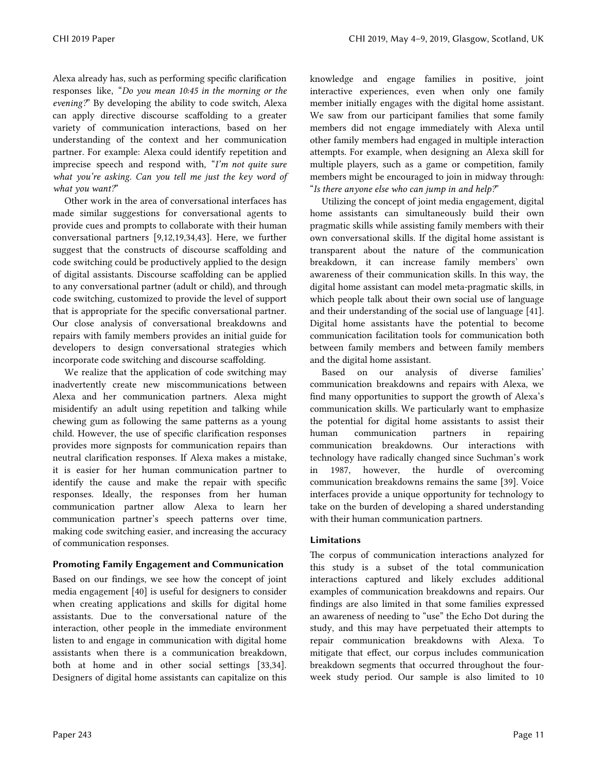Alexa already has, such as performing specific clarification responses like, "*Do you mean 10:45 in the morning or the evening?*" By developing the ability to code switch, Alexa can apply directive discourse scaffolding to a greater variety of communication interactions, based on her understanding of the context and her communication partner. For example: Alexa could identify repetition and imprecise speech and respond with, "*I'm not quite sure what you're asking. Can you tell me just the key word of what you want?*"

Other work in the area of conversational interfaces has made similar suggestions for conversational agents to provide cues and prompts to collaborate with their human conversational partners [9,12,19,34,43]. Here, we further suggest that the constructs of discourse scaffolding and code switching could be productively applied to the design of digital assistants. Discourse scaffolding can be applied to any conversational partner (adult or child), and through code switching, customized to provide the level of support that is appropriate for the specific conversational partner. Our close analysis of conversational breakdowns and repairs with family members provides an initial guide for developers to design conversational strategies which incorporate code switching and discourse scaffolding.

We realize that the application of code switching may inadvertently create new miscommunications between Alexa and her communication partners. Alexa might misidentify an adult using repetition and talking while chewing gum as following the same patterns as a young child. However, the use of specific clarification responses provides more signposts for communication repairs than neutral clarification responses. If Alexa makes a mistake, it is easier for her human communication partner to identify the cause and make the repair with specific responses. Ideally, the responses from her human communication partner allow Alexa to learn her communication partner's speech patterns over time, making code switching easier, and increasing the accuracy of communication responses.

# Promoting Family Engagement and Communication

Based on our findings, we see how the concept of joint media engagement [40] is useful for designers to consider when creating applications and skills for digital home assistants. Due to the conversational nature of the interaction, other people in the immediate environment listen to and engage in communication with digital home assistants when there is a communication breakdown, both at home and in other social settings [33,34]. Designers of digital home assistants can capitalize on this knowledge and engage families in positive, joint interactive experiences, even when only one family member initially engages with the digital home assistant. We saw from our participant families that some family members did not engage immediately with Alexa until other family members had engaged in multiple interaction attempts. For example, when designing an Alexa skill for multiple players, such as a game or competition, family members might be encouraged to join in midway through: "*Is there anyone else who can jump in and help?*"

Utilizing the concept of joint media engagement, digital home assistants can simultaneously build their own pragmatic skills while assisting family members with their own conversational skills. If the digital home assistant is transparent about the nature of the communication breakdown, it can increase family members' own awareness of their communication skills. In this way, the digital home assistant can model meta-pragmatic skills, in which people talk about their own social use of language and their understanding of the social use of language [41]. Digital home assistants have the potential to become communication facilitation tools for communication both between family members and between family members and the digital home assistant.

Based on our analysis of diverse families' communication breakdowns and repairs with Alexa, we find many opportunities to support the growth of Alexa's communication skills. We particularly want to emphasize the potential for digital home assistants to assist their human communication partners in repairing communication breakdowns. Our interactions with technology have radically changed since Suchman's work in 1987, however, the hurdle of overcoming communication breakdowns remains the same [39]. Voice interfaces provide a unique opportunity for technology to take on the burden of developing a shared understanding with their human communication partners.

# Limitations

The corpus of communication interactions analyzed for this study is a subset of the total communication interactions captured and likely excludes additional examples of communication breakdowns and repairs. Our findings are also limited in that some families expressed an awareness of needing to "use" the Echo Dot during the study, and this may have perpetuated their attempts to repair communication breakdowns with Alexa. To mitigate that effect, our corpus includes communication breakdown segments that occurred throughout the fourweek study period. Our sample is also limited to 10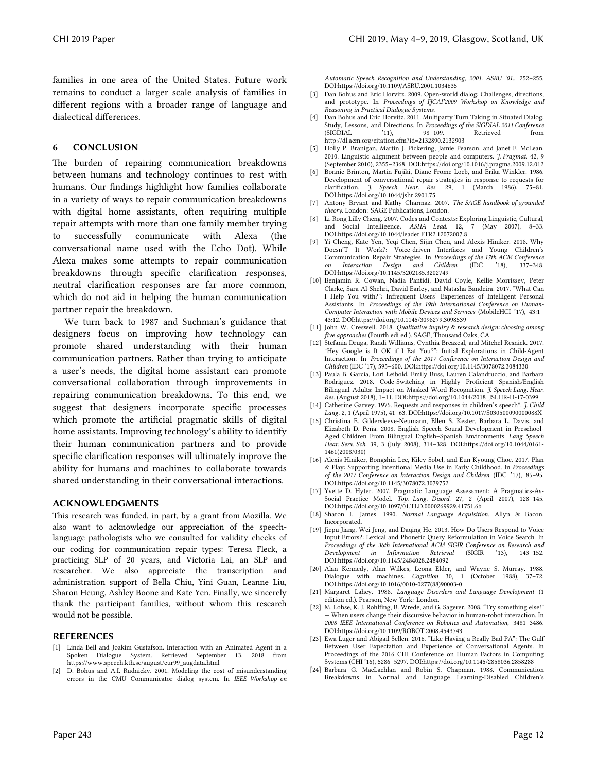families in one area of the United States. Future work remains to conduct a larger scale analysis of families in different regions with a broader range of language and dialectical differences.

#### 6 CONCLUSION

The burden of repairing communication breakdowns between humans and technology continues to rest with humans. Our findings highlight how families collaborate in a variety of ways to repair communication breakdowns with digital home assistants, often requiring multiple repair attempts with more than one family member trying to successfully communicate with Alexa (the conversational name used with the Echo Dot). While Alexa makes some attempts to repair communication breakdowns through specific clarification responses, neutral clarification responses are far more common, which do not aid in helping the human communication partner repair the breakdown.

We turn back to 1987 and Suchman's guidance that designers focus on improving how technology can promote shared understanding with their human communication partners. Rather than trying to anticipate a user's needs, the digital home assistant can promote conversational collaboration through improvements in repairing communication breakdowns. To this end, we suggest that designers incorporate specific processes which promote the artificial pragmatic skills of digital home assistants. Improving technology's ability to identify their human communication partners and to provide specific clarification responses will ultimately improve the ability for humans and machines to collaborate towards shared understanding in their conversational interactions.

#### ACKNOWLEDGMENTS

This research was funded, in part, by a grant from Mozilla. We also want to acknowledge our appreciation of the speechlanguage pathologists who we consulted for validity checks of our coding for communication repair types: Teresa Fleck, a practicing SLP of 20 years, and Victoria Lai, an SLP and researcher. We also appreciate the transcription and administration support of Bella Chiu, Yini Guan, Leanne Liu, Sharon Heung, Ashley Boone and Kate Yen. Finally, we sincerely thank the participant families, without whom this research would not be possible.

#### REFERENCES

- [1] Linda Bell and Joakim Gustafson. Interaction with an Animated Agent in a Spoken Dialogue System. Retrieved September 13, 2018 from https://www.speech.kth.se/august/eur99\_augdata.html
- [2] D. Bohus and A.I. Rudnicky. 2001. Modeling the cost of misunderstanding errors in the CMU Communicator dialog system. In *IEEE Workshop on*

*Automatic Speech Recognition and Understanding, 2001. ASRU '01.*, 252–255. DOI:https://doi.org/10.1109/ASRU.2001.1034635

- [3] Dan Bohus and Eric Horvitz. 2009. Open-world dialog: Challenges, directions, and prototype. In *Proceedings of IJCAI'2009 Workshop on Knowledge and Reasoning in Practical Dialogue Systems*.
- [4] Dan Bohus and Eric Horvitz. 2011. Multiparty Turn Taking in Situated Dialog: Study, Lessons, and Directions. In *Proceedings of the SIGDIAL 2011 Conference* Retrieved from http://dl.acm.org/citation.cfm?id=2132890.2132903
- [5] Holly P. Branigan, Martin J. Pickering, Jamie Pearson, and Janet F. McLean. 2010. Linguistic alignment between people and computers. *J. Pragmat.* 42, 9 (September 2010), 2355–2368. DOI:https://doi.org/10.1016/j.pragma.2009.12.012
- [6] Bonnie Brinton, Martin Fujiki, Diane Frome Loeb, and Erika Winkler. 1986. Development of conversational repair strategies in response to requests for clarification. *J. Speech Hear. Res.* 29, 1 (March 1986), 75–81. DOI:https://doi.org/10.1044/jshr.2901.75
- [7] Antony Bryant and Kathy Charmaz. 2007. *The SAGE handbook of grounded theory*. London: SAGE Publications, London.
- [8] Li-Rong Lilly Cheng. 2007. Codes and Contexts: Exploring Linguistic, Cultural, and Social Intelligence. *ASHA Lead.* 12, 7 (May 2007), 8–33. DOI:https://doi.org/10.1044/leader.FTR2.12072007.8
- [9] Yi Cheng, Kate Yen, Yeqi Chen, Sijin Chen, and Alexis Hiniker. 2018. Why Doesn'T It Work?: Voice-driven Interfaces and Young Children's Communication Repair Strategies. In *Proceedings of the 17th ACM Conference on Interaction Design and Children* (IDC '18), 337–348. DOI:https://doi.org/10.1145/3202185.3202749
- [10] Benjamin R. Cowan, Nadia Pantidi, David Coyle, Kellie Morrissey, Peter Clarke, Sara Al-Shehri, David Earley, and Natasha Bandeira. 2017. "What Can I Help You with?": Infrequent Users' Experiences of Intelligent Personal Assistants. In *Proceedings of the 19th International Conference on Human-Computer Interaction with Mobile Devices and Services* (MobileHCI '17), 43:1– 43:12. DOI:https://doi.org/10.1145/3098279.3098539
- [11] John W. Creswell. 2018. *Qualitative inquiry & research design: choosing among*
- *five approaches* (Fourth edi ed.). SAGE, Thousand Oaks, CA. [12] Stefania Druga, Randi Williams, Cynthia Breazeal, and Mitchel Resnick. 2017. "Hey Google is It OK if I Eat You?": Initial Explorations in Child-Agent<br>Interaction. In *Proceedings of the 2017 Conference on Interaction Design and*<br>*Children* (IDC '17), 595–600. DOI:https://doi.org/10.1145/3078072.308
- [13] Paula B. García, Lori Leibold, Emily Buss, Lauren Calandruccio, and Barbara Rodriguez. 2018. Code-Switching in Highly Proficient Spanish/English Bilingual Adults: Impact on Masked Word Recognition. *J. Speech Lang. Hear. Res.* (August 2018), 1–11. DOI:https://doi.org/10.1044/2018\_JSLHR-H-17-0399
- [14] Catherine Garvey. 1975. Requests and responses in children's speech\*. *J. Child Lang.* 2, 1 (April 1975), 41–63. DOI:https://doi.org/10.1017/S030500090000088X
- [15] Christina E. Gildersleeve-Neumann, Ellen S. Kester, Barbara L. Davis, and Elizabeth D. Peña. 2008. English Speech Sound Development in Preschool-Aged Children From Bilingual English–Spanish Environments. *Lang. Speech Hear. Serv. Sch.* 39, 3 (July 2008), 314–328. DOI:https://doi.org/10.1044/0161- 1461(2008/030)
- [16] Alexis Hiniker, Bongshin Lee, Kiley Sobel, and Eun Kyoung Choe. 2017. Plan & Play: Supporting Intentional Media Use in Early Childhood. In *Proceedings of the 2017 Conference on Interaction Design and Children* (IDC '17), 85–95. DOI:https://doi.org/10.1145/3078072.3079752
- [17] Yvette D. Hyter. 2007. Pragmatic Language Assessment: A Pragmatics-As-Social Practice Model. *Top. Lang. Disord.* 27, 2 (April 2007), 128–145. DOI:https://doi.org/10.1097/01.TLD.0000269929.41751.6b
- [18] Sharon L. James. 1990. *Normal Language Acquisition*. Allyn & Bacon, Incorporated.
- [19] Jiepu Jiang, Wei Jeng, and Daqing He. 2013. How Do Users Respond to Voice Input Errors?: Lexical and Phonetic Query Reformulation in Voice Search. In *Proceedings of the 36th International ACM SIGIR Conference on Research and Development in Information Retrieval* (SIGIR '13), 143–152. DOI:https://doi.org/10.1145/2484028.2484092
- [20] Alan Kennedy, Alan Wilkes, Leona Elder, and Wayne S. Murray. 1988. Dialogue with machines. *Cognition* 30, 1 (October 1988), 37–72. DOI:https://doi.org/10.1016/0010-0277(88)90003-0
- [21] Margaret Lahey. 1988. *Language Disorders and Language Development* (1 edition ed.). Pearson, New York: London.
- [22] M. Lohse, K. J. Rohlfing, B. Wrede, and G. Sagerer. 2008. "Try something else!" — When users change their discursive behavior in human-robot interaction. In *2008 IEEE International Conference on Robotics and Automation*, 3481–3486. DOI:https://doi.org/10.1109/ROBOT.2008.4543743
- [23] Ewa Luger and Abigail Sellen. 2016. "Like Having a Really Bad PA": The Gulf Between User Expectation and Experience of Conversational Agents. In Proceedings of the 2016 CHI Conference on Human Factors in Computing Systems (CHI '16), 5286–5297. DOI:https://doi.org/10.1145/2858036.2858288
- [24] Barbara G. MacLachlan and Robin S. Chapman. 1988. Communication Breakdowns in Normal and Language Learning-Disabled Children's